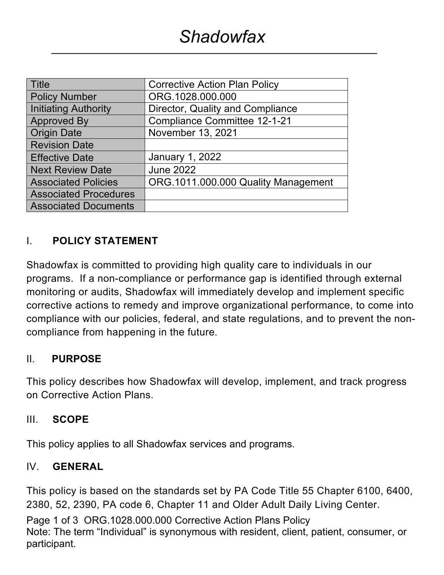| <b>Title</b>                 | <b>Corrective Action Plan Policy</b> |  |
|------------------------------|--------------------------------------|--|
| <b>Policy Number</b>         | ORG.1028.000.000                     |  |
| <b>Initiating Authority</b>  | Director, Quality and Compliance     |  |
| <b>Approved By</b>           | <b>Compliance Committee 12-1-21</b>  |  |
| <b>Origin Date</b>           | November 13, 2021                    |  |
| <b>Revision Date</b>         |                                      |  |
| <b>Effective Date</b>        | January 1, 2022                      |  |
| <b>Next Review Date</b>      | <b>June 2022</b>                     |  |
| <b>Associated Policies</b>   | ORG.1011.000.000 Quality Management  |  |
| <b>Associated Procedures</b> |                                      |  |
| <b>Associated Documents</b>  |                                      |  |

## I. **POLICY STATEMENT**

Shadowfax is committed to providing high quality care to individuals in our programs. If a non-compliance or performance gap is identified through external monitoring or audits, Shadowfax will immediately develop and implement specific corrective actions to remedy and improve organizational performance, to come into compliance with our policies, federal, and state regulations, and to prevent the noncompliance from happening in the future.

## II. **PURPOSE**

This policy describes how Shadowfax will develop, implement, and track progress on Corrective Action Plans.

### III. **SCOPE**

This policy applies to all Shadowfax services and programs.

### IV. **GENERAL**

This policy is based on the standards set by PA Code Title 55 Chapter 6100, 6400, 2380, 52, 2390, PA code 6, Chapter 11 and Older Adult Daily Living Center.

Page 1 of 3 ORG.1028.000.000 Corrective Action Plans Policy Note: The term "Individual" is synonymous with resident, client, patient, consumer, or participant.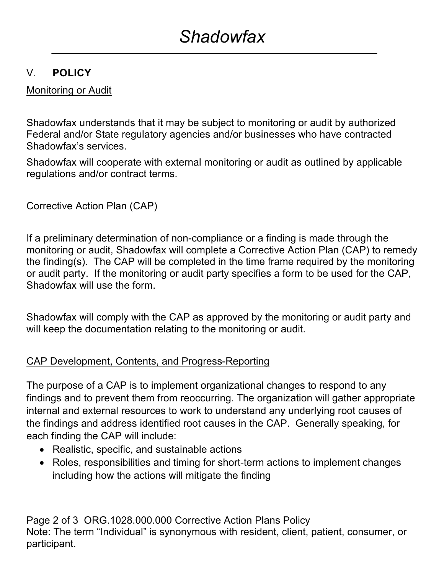# V. **POLICY**

# Monitoring or Audit

Shadowfax understands that it may be subject to monitoring or audit by authorized Federal and/or State regulatory agencies and/or businesses who have contracted Shadowfax's services.

Shadowfax will cooperate with external monitoring or audit as outlined by applicable regulations and/or contract terms.

# Corrective Action Plan (CAP)

If a preliminary determination of non-compliance or a finding is made through the monitoring or audit, Shadowfax will complete a Corrective Action Plan (CAP) to remedy the finding(s). The CAP will be completed in the time frame required by the monitoring or audit party. If the monitoring or audit party specifies a form to be used for the CAP, Shadowfax will use the form.

Shadowfax will comply with the CAP as approved by the monitoring or audit party and will keep the documentation relating to the monitoring or audit.

## CAP Development, Contents, and Progress-Reporting

The purpose of a CAP is to implement organizational changes to respond to any findings and to prevent them from reoccurring. The organization will gather appropriate internal and external resources to work to understand any underlying root causes of the findings and address identified root causes in the CAP. Generally speaking, for each finding the CAP will include:

- Realistic, specific, and sustainable actions
- Roles, responsibilities and timing for short-term actions to implement changes including how the actions will mitigate the finding

Page 2 of 3 ORG.1028.000.000 Corrective Action Plans Policy Note: The term "Individual" is synonymous with resident, client, patient, consumer, or participant.